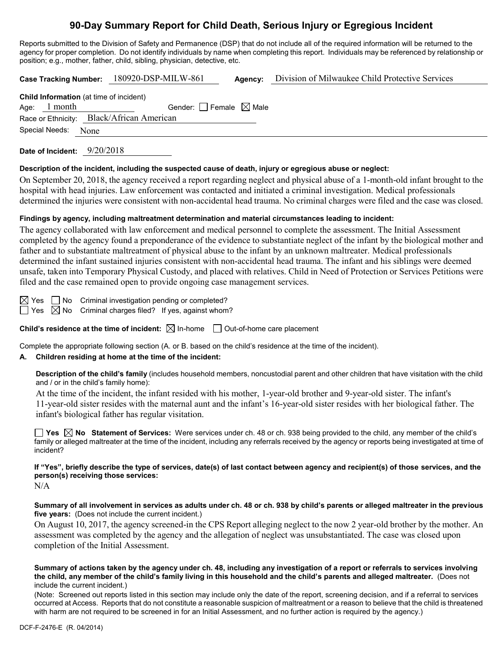# **90-Day Summary Report for Child Death, Serious Injury or Egregious Incident**

Reports submitted to the Division of Safety and Permanence (DSP) that do not include all of the required information will be returned to the agency for proper completion. Do not identify individuals by name when completing this report. Individuals may be referenced by relationship or position; e.g., mother, father, child, sibling, physician, detective, etc.

**Case Tracking Number:** 180920-DSP-MILW-861 **Agency:** Division of Milwaukee Child Protective Services

|                     | <b>Child Information</b> (at time of incident) |  |
|---------------------|------------------------------------------------|--|
| Age: $1$ month      | Gender: Female $\boxtimes$ Male                |  |
|                     | Race or Ethnicity: Black/African American      |  |
| Special Needs: None |                                                |  |
|                     |                                                |  |

**Date of Incident:** 9/20/2018

#### **Description of the incident, including the suspected cause of death, injury or egregious abuse or neglect:**

On September 20, 2018, the agency received a report regarding neglect and physical abuse of a 1-month-old infant brought to the hospital with head injuries. Law enforcement was contacted and initiated a criminal investigation. Medical professionals determined the injuries were consistent with non-accidental head trauma. No criminal charges were filed and the case was closed.

## **Findings by agency, including maltreatment determination and material circumstances leading to incident:**

The agency collaborated with law enforcement and medical personnel to complete the assessment. The Initial Assessment completed by the agency found a preponderance of the evidence to substantiate neglect of the infant by the biological mother and father and to substantiate maltreatment of physical abuse to the infant by an unknown maltreater. Medical professionals determined the infant sustained injuries consistent with non-accidental head trauma. The infant and his siblings were deemed unsafe, taken into Temporary Physical Custody, and placed with relatives. Child in Need of Protection or Services Petitions were filed and the case remained open to provide ongoing case management services.

 $\boxtimes$  Yes  $\Box$  No Criminal investigation pending or completed?

 $\Box$  Yes  $\boxtimes$  No Criminal charges filed? If yes, against whom?

**Child's residence at the time of incident:**  $\boxtimes$  In-home  $\Box$  Out-of-home care placement

Complete the appropriate following section (A. or B. based on the child's residence at the time of the incident).

# **A. Children residing at home at the time of the incident:**

**Description of the child's family** (includes household members, noncustodial parent and other children that have visitation with the child and / or in the child's family home):

At the time of the incident, the infant resided with his mother, 1-year-old brother and 9-year-old sister. The infant's 11-year-old sister resides with the maternal aunt and the infant's 16-year-old sister resides with her biological father. The infant's biological father has regular visitation.

**Yes No Statement of Services:** Were services under ch. 48 or ch. 938 being provided to the child, any member of the child's family or alleged maltreater at the time of the incident, including any referrals received by the agency or reports being investigated at time of incident?

**If "Yes", briefly describe the type of services, date(s) of last contact between agency and recipient(s) of those services, and the person(s) receiving those services:**

 $N/A$ 

**Summary of all involvement in services as adults under ch. 48 or ch. 938 by child's parents or alleged maltreater in the previous five years:** (Does not include the current incident.)

On August 10, 2017, the agency screened-in the CPS Report alleging neglect to the now 2 year-old brother by the mother. An assessment was completed by the agency and the allegation of neglect was unsubstantiated. The case was closed upon completion of the Initial Assessment.

**Summary of actions taken by the agency under ch. 48, including any investigation of a report or referrals to services involving the child, any member of the child's family living in this household and the child's parents and alleged maltreater.** (Does not include the current incident.)

(Note: Screened out reports listed in this section may include only the date of the report, screening decision, and if a referral to services occurred at Access. Reports that do not constitute a reasonable suspicion of maltreatment or a reason to believe that the child is threatened with harm are not required to be screened in for an Initial Assessment, and no further action is required by the agency.)